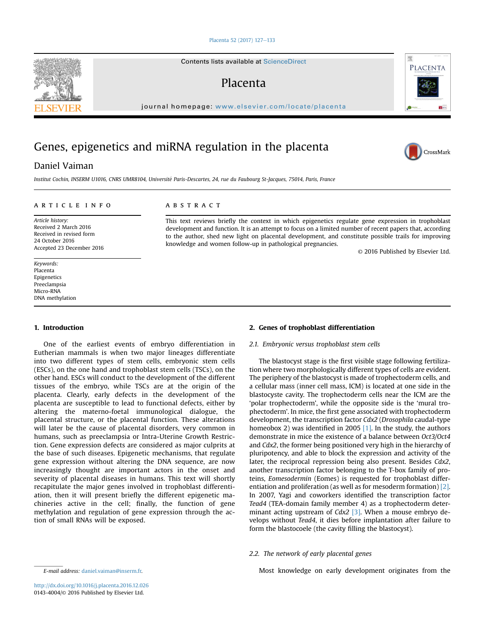#### [Placenta 52 \(2017\) 127](http://dx.doi.org/10.1016/j.placenta.2016.12.026)-[133](http://dx.doi.org/10.1016/j.placenta.2016.12.026)

Contents lists available at ScienceDirect

# Placenta

journal homepage: [www.elsevier.com/locate/placenta](http://www.elsevier.com/locate/placenta)

# Genes, epigenetics and miRNA regulation in the placenta

## Daniel Vaiman

Institut Cochin, INSERM U1016, CNRS UMR8104, Universite Paris-Descartes, 24, rue du Faubourg St-Jacques, 75014, Paris, France

#### article info

Article history: Received 2 March 2016 Received in revised form 24 October 2016 Accepted 23 December 2016

Keywords: Placenta Epigenetics Preeclampsia Micro-RNA DNA methylation

#### 1. Introduction

One of the earliest events of embryo differentiation in Eutherian mammals is when two major lineages differentiate into two different types of stem cells, embryonic stem cells (ESCs), on the one hand and trophoblast stem cells (TSCs), on the other hand. ESCs will conduct to the development of the different tissues of the embryo, while TSCs are at the origin of the placenta. Clearly, early defects in the development of the placenta are susceptible to lead to functional defects, either by altering the materno-foetal immunological dialogue, the placental structure, or the placental function. These alterations will later be the cause of placental disorders, very common in humans, such as preeclampsia or Intra-Uterine Growth Restriction. Gene expression defects are considered as major culprits at the base of such diseases. Epigenetic mechanisms, that regulate gene expression without altering the DNA sequence, are now increasingly thought are important actors in the onset and severity of placental diseases in humans. This text will shortly recapitulate the major genes involved in trophoblast differentiation, then it will present briefly the different epigenetic machineries active in the cell; finally, the function of gene methylation and regulation of gene expression through the action of small RNAs will be exposed.

## **ABSTRACT**

This text reviews briefly the context in which epigenetics regulate gene expression in trophoblast development and function. It is an attempt to focus on a limited number of recent papers that, according to the author, shed new light on placental development, and constitute possible trails for improving knowledge and women follow-up in pathological pregnancies.

© 2016 Published by Elsevier Ltd.

#### 2. Genes of trophoblast differentiation

#### 2.1. Embryonic versus trophoblast stem cells

The blastocyst stage is the first visible stage following fertilization where two morphologically different types of cells are evident. The periphery of the blastocyst is made of trophectoderm cells, and a cellular mass (inner cell mass, ICM) is located at one side in the blastocyste cavity. The trophectoderm cells near the ICM are the 'polar trophectoderm', while the opposite side is the 'mural trophectoderm'. In mice, the first gene associated with trophectoderm development, the transcription factor Cdx2 (Drosophila caudal-type homeobox 2) was identified in 2005  $[1]$ . In the study, the authors demonstrate in mice the existence of a balance between Oct3/Oct4 and Cdx2, the former being positioned very high in the hierarchy of pluripotency, and able to block the expression and activity of the later, the reciprocal repression being also present. Besides Cdx2, another transcription factor belonging to the T-box family of proteins, Eomesodermin (Eomes) is requested for trophoblast differentiation and proliferation (as well as for mesoderm formation) [\[2\].](#page-4-0) In 2007, Yagi and coworkers identified the transcription factor Tead4 (TEA-domain family member 4) as a trophectoderm determinant acting upstream of  $Cdx2$  [\[3\]](#page-4-0). When a mouse embryo develops without Tead4, it dies before implantation after failure to form the blastocoele (the cavity filling the blastocyst).

## 2.2. The network of early placental genes

E-mail address: [daniel.vaiman@inserm.fr.](mailto:daniel.vaiman@inserm.fr) example and the mail and Most knowledge on early development originates from the





PLACENTA

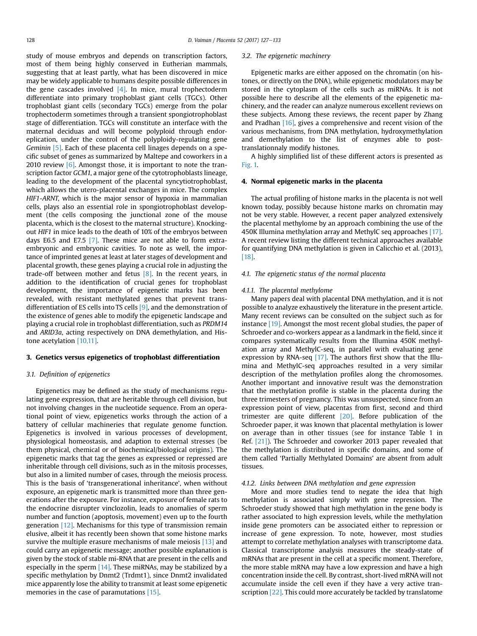study of mouse embryos and depends on transcription factors, most of them being highly conserved in Eutherian mammals, suggesting that at least partly, what has been discovered in mice may be widely applicable to humans despite possible differences in the gene cascades involved  $[4]$ . In mice, mural trophectoderm differentiate into primary trophoblast giant cells (TGCs). Other trophoblast giant cells (secondary TGCs) emerge from the polar trophectoderm sometimes through a transient spongiotrophoblast stage of differentiation. TGCs will constitute an interface with the maternal deciduas and will become polyploid through endoreplication, under the control of the polyploidy-regulating gene Geminin [\[5\].](#page-4-0) Each of these placenta cell linages depends on a specific subset of genes as summarized by Maltepe and coworkers in a 2010 review  $[6]$ . Amongst those, it is important to note the transcription factor GCM1, a major gene of the cytotrophoblasts lineage, leading to the development of the placental syncytiotrophoblast, which allows the utero-placental exchanges in mice. The complex HIF1-ARNT, which is the major sensor of hypoxia in mammalian cells, plays also an essential role in spongiotrophoblast development (the cells composing the junctional zone of the mouse placenta, which is the closest to the maternal structure). Knockingout HIF1 in mice leads to the death of 10% of the embryos between days E6.5 and E7.5 [\[7\].](#page-4-0) These mice are not able to form extraembryonic and embryonic cavities. To note as well, the importance of imprinted genes at least at later stages of development and placental growth, these genes playing a crucial role in adjusting the trade-off between mother and fetus  $[8]$ . In the recent years, in addition to the identification of crucial genes for trophoblast development, the importance of epigenetic marks has been revealed, with resistant methylated genes that prevent transdifferentiation of ES cells into TS cells [\[9\],](#page-4-0) and the demonstration of the existence of genes able to modify the epigenetic landscape and playing a crucial role in trophoblast differentiation, such as PRDM14 and ARID3a, acting respectively on DNA demethylation, and Histone acetylation [\[10,11\].](#page-4-0)

#### 3. Genetics versus epigenetics of trophoblast differentiation

#### 3.1. Definition of epigenetics

Epigenetics may be defined as the study of mechanisms regulating gene expression, that are heritable through cell division, but not involving changes in the nucleotide sequence. From an operational point of view, epigenetics works through the action of a battery of cellular machineries that regulate genome function. Epigenetics is involved in various processes of development, physiological homeostasis, and adaption to external stresses (be them physical, chemical or of biochemical/biological origins). The epigenetic marks that tag the genes as expressed or repressed are inheritable through cell divisions, such as in the mitosis processes, but also in a limited number of cases, through the meiosis process. This is the basis of 'transgenerational inheritance', when without exposure, an epigenetic mark is transmitted more than three generations after the exposure. For instance, exposure of female rats to the endocrine disrupter vinclozolin, leads to anomalies of sperm number and function (apoptosis, movement) even up to the fourth generation [\[12\]](#page-4-0). Mechanisms for this type of transmission remain elusive, albeit it has recently been shown that some histone marks survive the multiple erasure mechanisms of male meiosis [\[13\]](#page-4-0) and could carry an epigenetic message; another possible explanation is given by the stock of stable mi-RNA that are present in the cells and especially in the sperm  $[14]$ . These miRNAs, may be stabilized by a specific methylation by Dnmt2 (Trdmt1), since Dnmt2 invalidated mice apparently lose the ability to transmit at least some epigenetic memories in the case of paramutations [\[15\].](#page-4-0)

#### 3.2. The epigenetic machinery

Epigenetic marks are either apposed on the chromatin (on histones, or directly on the DNA), while epigenetic modulators may be stored in the cytoplasm of the cells such as miRNAs. It is not possible here to describe all the elements of the epigenetic machinery, and the reader can analyze numerous excellent reviews on these subjects. Among these reviews, the recent paper by Zhang and Pradhan [\[16\],](#page-4-0) gives a comprehensive and recent vision of the various mechanisms, from DNA methylation, hydroxymethylation and demethylation to the list of enzymes able to posttranslationnaly modify histones.

A highly simplified list of these different actors is presented as [Fig. 1.](#page-2-0)

### 4. Normal epigenetic marks in the placenta

The actual profiling of histone marks in the placenta is not well known today, possibly because histone marks on chromatin may not be very stable. However, a recent paper analyzed extensively the placental methylome by an approach combining the use of the 450K Illumina methylation array and MethylC seq approaches [\[17\].](#page-4-0) A recent review listing the different technical approaches available for quantifying DNA methylation is given in Calicchio et al. (2013), [\[18\].](#page-4-0)

## 4.1. The epigenetic status of the normal placenta

#### 4.1.1. The placental methylome

Many papers deal with placental DNA methylation, and it is not possible to analyze exhaustively the literature in the present article. Many recent reviews can be consulted on the subject such as for instance [\[19\]](#page-4-0). Amongst the most recent global studies, the paper of Schroeder and co-workers appear as a landmark in the field, since it compares systematically results from the Illumina 450K methylation array and MethylC-seq, in parallel with evaluating gene expression by RNA-seq [\[17\].](#page-4-0) The authors first show that the Illumina and MethylC-seq approaches resulted in a very similar description of the methylation profiles along the chromosomes. Another important and innovative result was the demonstration that the methylation profile is stable in the placenta during the three trimesters of pregnancy. This was unsuspected, since from an expression point of view, placentas from first, second and third trimester are quite different [\[20\]](#page-4-0). Before publication of the Schroeder paper, it was known that placental methylation is lower on average than in other tissues (see for instance Table 1 in Ref. [\[21\]\)](#page-4-0). The Schroeder and coworker 2013 paper revealed that the methylation is distributed in specific domains, and some of them called 'Partially Methylated Domains' are absent from adult tissues.

#### 4.1.2. Links between DNA methylation and gene expression

More and more studies tend to negate the idea that high methylation is associated simply with gene repression. The Schroeder study showed that high methylation in the gene body is rather associated to high expression levels, while the methylation inside gene promoters can be associated either to repression or increase of gene expression. To note, however, most studies attempt to correlate methylation analyses with transcriptome data. Classical transcriptome analysis measures the steady-state of mRNAs that are present in the cell at a specific moment. Therefore, the more stable mRNA may have a low expression and have a high concentration inside the cell. By contrast, short-lived mRNA will not accumulate inside the cell even if they have a very active tran-scription [\[22\]](#page-4-0). This could more accurately be tackled by translatome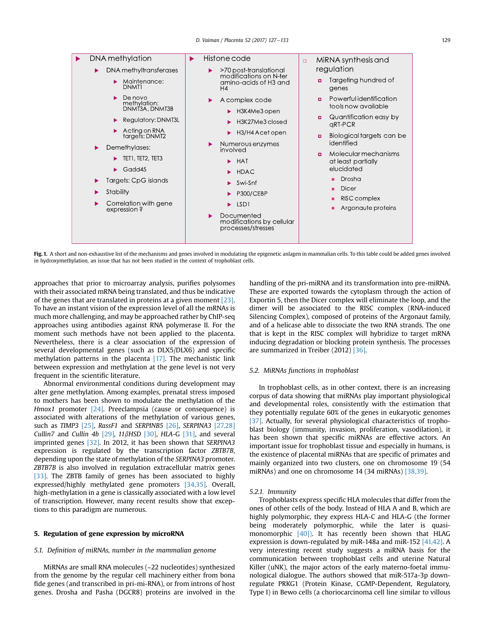<span id="page-2-0"></span>

Fig. 1. A short and non-exhaustive list of the mechanisms and genes involved in modulating the epigenetic anlagen in mammalian cells. To this table could be added genes involved in hydroxymethylation, an issue that has not been studied in the context of trophoblast cells.

approaches that prior to microarray analysis, purifies polysomes with their associated mRNA being translated, and thus be indicative of the genes that are translated in proteins at a given moment [\[23\].](#page-4-0) To have an instant vision of the expression level of all the mRNAs is much more challenging, and may be approached rather by ChIP-seq approaches using antibodies against RNA polymerase II. For the moment such methods have not been applied to the placenta. Nevertheless, there is a clear association of the expression of several developmental genes (such as DLX5/DLX6) and specific methylation patterns in the placenta [\[17\].](#page-4-0) The mechanistic link between expression and methylation at the gene level is not very frequent in the scientific literature.

Abnormal environmental conditions during development may alter gene methylation. Among examples, prenatal stress imposed to mothers has been shown to modulate the methylation of the Hmox1 promoter [\[24\].](#page-4-0) Preeclampsia (cause or consequence) is associated with alterations of the methylation of various genes, such as TIMP3 [\[25\]](#page-4-0), RassF1 and SERPINB5 [\[26\],](#page-4-0) SERPINA3 [\[27,28\]](#page-4-0) Cullin7 and Cullin 4b  $[29]$ , 11 $\beta$ HSD  $[30]$ , HLA-G  $[31]$ , and several imprinted genes [\[32\]](#page-4-0). In 2012, it has been shown that SERPINA3 expression is regulated by the transcription factor ZBTB7B, depending upon the state of methylation of the SERPINA3 promoter. ZBTB7B is also involved in regulation extracellular matrix genes [\[33\].](#page-4-0) The ZBTB family of genes has been associated to highly expressed/highly methylated gene promoters [\[34,35\].](#page-4-0) Overall, high-methylation in a gene is classically associated with a low level of transcription. However, many recent results show that exceptions to this paradigm are numerous.

#### 5. Regulation of gene expression by microRNA

#### 5.1. Definition of miRNAs, number in the mammalian genome

MiRNAs are small RNA molecules (~22 nucleotides) synthesized from the genome by the regular cell machinery either from bona fide genes (and transcribed in pri-mi-RNA), or from introns of host genes. Drosha and Pasha (DGCR8) proteins are involved in the

handling of the pri-miRNA and its transformation into pre-miRNA. These are exported towards the cytoplasm through the action of Exportin 5, then the Dicer complex will eliminate the loop, and the dimer will be associated to the RISC complex (RNA-induced Silencing Complex), composed of proteins of the Argonaut family, and of a helicase able to dissociate the two RNA strands. The one that is kept in the RISC complex will hybridize to target mRNA inducing degradation or blocking protein synthesis. The processes are summarized in Treiber (2012) [\[36\]](#page-4-0).

#### 5.2. MiRNAs functions in trophoblast

In trophoblast cells, as in other context, there is an increasing corpus of data showing that miRNAs play important physiological and developmental roles, consistently with the estimation that they potentially regulate 60% of the genes in eukaryotic genomes [\[37\].](#page-4-0) Actually, for several physiological characteristics of trophoblast biology (immunity, invasion, proliferation, vasodilation), it has been shown that specific miRNAs are effective actors. An important issue for trophoblast tissue and especially in humans, is the existence of placental miRNAs that are specific of primates and mainly organized into two clusters, one on chromosome 19 (54 miRNAs) and one on chromosome 14 (34 miRNAs) [\[38,39\]](#page-5-0).

#### 5.2.1. Immunity

Trophoblasts express specific HLA molecules that differ from the ones of other cells of the body. Instead of HLA A and B, which are highly polymorphic, they express HLA-C and HLA-G (the former being moderately polymorphic, while the later is quasi-monomorphic [\[40\]\).](#page-5-0) It has recently been shown that HLAG expression is down-regulated by miR-148a and miR-152 [\[41,42\].](#page-5-0) A very interesting recent study suggests a miRNA basis for the communication between trophoblast cells and uterine Natural Killer (uNK), the major actors of the early materno-foetal immunological dialogue. The authors showed that miR-517a-3p downregulate PRKG1 (Protein Kinase, CGMP-Dependent, Regulatory, Type I) in Bewo cells (a choriocarcinoma cell line similar to villous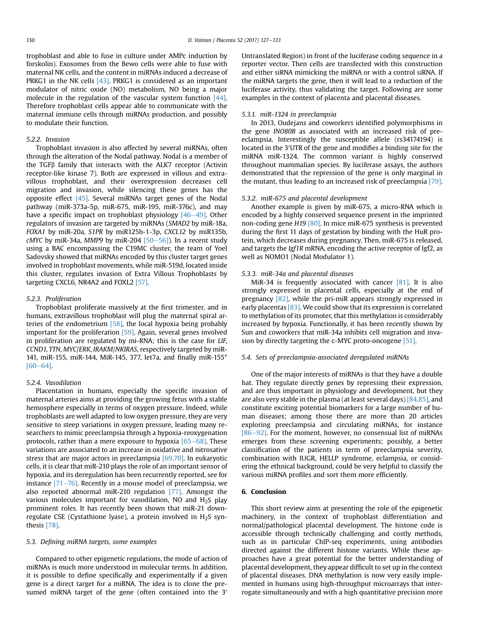trophoblast and able to fuse in culture under AMPc induction by forskolin). Exosomes from the Bewo cells were able to fuse with maternal NK cells, and the content in miRNAs induced a decrease of PRKG1 in the NK cells [\[43\]](#page-5-0). PRKG1 is considered as an important modulator of nitric oxide (NO) metabolism, NO being a major molecule in the regulation of the vascular system function [\[44\].](#page-5-0) Therefore trophoblast cells appear able to communicate with the maternal immune cells through miRNAs production, and possibly to modulate their function.

#### 5.2.2. Invasion

Trophoblast invasion is also affected by several miRNAs, often through the alteration of the Nodal pathway. Nodal is a member of the TGFb family that interacts with the ALK7 receptor (Activin receptor-like kinase 7). Both are expressed in villous and extravillous trophoblast, and their overexpression decreases cell migration and invasion, while silencing these genes has the opposite effect [\[45\].](#page-5-0) Several miRNAs target genes of the Nodal pathway (miR-373a-5p, miR-675, miR-195, miR-376c), and may have a specific impact on trophoblast physiology  $[46-49]$  $[46-49]$  $[46-49]$ . Other regulators of invasion are targeted by miRNAs (SMAD2 by miR-18a, FOXA1 by miR-20a, S1PR by miR125b-1-3p, CXCL12 by miR135b, cMYC by miR-34a, MMP9 by miR-204  $[50-56]$  $[50-56]$  $[50-56]$ ). In a recent study using a BAC encompassing the C19MC cluster, the team of Yoel Sadovsky showed that miRNAs encoded by this cluster target genes involved in trophoblast movements, while miR-519d, located inside this cluster, regulates invasion of Extra Villous Trophoblasts by targeting CXCL6, NR4A2 and FOXL2 [\[57\]](#page-5-0).

#### 5.2.3. Proliferation

Trophoblast proliferate massively at the first trimester, and in humans, extravillous trophoblast will plug the maternal spiral arteries of the endometrium  $[58]$ , the local hypoxia being probably important for the proliferation [\[59\]](#page-5-0). Again, several genes involved in proliferation are regulated by mi-RNA; this is the case for LIF, CCND1, TTN, MYC/ERK, IRAKM/NKIRAS, respectively targeted by miR-141, miR-155, miR-144, MiR-145, 377, let7a, and finally miR-155\*  $[60-64]$  $[60-64]$  $[60-64]$ .

#### 5.2.4. Vasodilation

Placentation in humans, especially the specific invasion of maternal arteries aims at providing the growing fetus with a stable hemosphere especially in terms of oxygen pressure. Indeed, while trophoblasts are well adapted to low oxygen pressure, they are very sensitive to steep variations in oxygen pressure, leading many researchers to mimic preeclampsia through a hypoxia-reoxygenation protocols, rather than a mere exposure to hypoxia  $[65-68]$  $[65-68]$ . These variations are associated to an increase in oxidative and nitrosative stress that are major actors in preeclampsia [\[69,70\]](#page-5-0). In eukaryotic cells, it is clear that miR-210 plays the role of an important sensor of hypoxia, and its deregulation has been recurrently reported, see for instance  $[71–76]$  $[71–76]$ . Recently in a mouse model of preeclampsia, we also reported abnormal miR-210 regulation [\[77\]](#page-5-0). Amongst the various molecules important for vasodilation, NO and  $H_2S$  play prominent roles. It has recently been shown that miR-21 downregulate CSE (Cystathione lyase), a protein involved in  $H_2S$  synthesis [\[78\].](#page-5-0)

#### 5.3. Defining miRNA targets, some examples

Compared to other epigenetic regulations, the mode of action of miRNAs is much more understood in molecular terms. In addition, it is possible to define specifically and experimentally if a given gene is a direct target for a miRNA. The idea is to clone the presumed miRNA target of the gene (often contained into the 3'

Untranslated Region) in front of the luciferase coding sequence in a reporter vector. Then cells are transfected with this construction and either siRNA mimicking the miRNA or with a control siRNA. If the miRNA targets the gene, then it will lead to a reduction of the luciferase activity, thus validating the target. Following are some examples in the context of placenta and placental diseases.

#### 5.3.1. miR-1324 in preeclampsia

In 2013, Oudejans and coworkers identified polymorphisms in the gene INO80B as associated with an increased risk of preeclampsia. Interestingly the susceptible allele (rs34174194) is located in the 3'UTR of the gene and modifies a binding site for the miRNA miR-1324. The common variant is highly conserved throughout mammalian species. By luciferase assays, the authors demonstrated that the repression of the gene is only marginal in the mutant, thus leading to an increased risk of preeclampsia [\[79\].](#page-5-0)

#### 5.3.2. miR-675 and placental development

Another example is given by miR-675, a micro-RNA which is encoded by a highly conserved sequence present in the imprinted non-coding gene H19 [\[80\].](#page-5-0) In mice miR-675 synthesis is prevented during the first 11 days of gestation by binding with the HuR protein, which decreases during pregnancy. Then, miR-675 is released, and targets the Igf1R mRNA, encoding the active receptor of Igf2, as well as NOMO1 (Nodal Modulator 1).

#### 5.3.3. miR-34a and placental diseases

MiR-34 is frequently associated with cancer [\[81\].](#page-5-0) It is also strongly expressed in placental cells, especially at the end of pregnancy [\[82\]](#page-5-0), while the pri-miR appears strongly expressed in early placentas  $[83]$ . We could show that its expression is correlated to methylation of its promoter, that this methylation is considerably increased by hypoxia. Functionally, it has been recently shown by Sun and coworkers that miR-34a inhibits cell migration and invasion by directly targeting the c-MYC proto-oncogene [\[51\].](#page-5-0)

#### 5.4. Sets of preeclampsia-associated deregulated miRNAs

One of the major interests of miRNAs is that they have a double hat. They regulate directly genes by repressing their expression, and are thus important in physiology and development, but they are also very stable in the plasma (at least several days) [\[84,85\]](#page-5-0), and constitute exciting potential biomarkers for a large number of human diseases; among those there are more than 20 articles exploring preeclampsia and circulating miRNAs, for instance  $[86-92]$  $[86-92]$ . For the moment, however, no consensual list of miRNAs emerges from these screening experiments; possibly, a better classification of the patients in term of preeclampsia severity, combination with IUGR, HELLP syndrome, eclampsia, or considering the ethnical background, could be very helpful to classify the various miRNA profiles and sort them more efficiently.

#### 6. Conclusion

This short review aims at presenting the role of the epigenetic machinery, in the context of trophoblast differentiation and normal/pathological placental development. The histone code is accessible through technically challenging and costly methods, such as in particular ChIP-seq experiments, using antibodies directed against the different histone variants. While these approaches have a great potential for the better understanding of placental development, they appear difficult to set up in the context of placental diseases. DNA methylation is now very easily implemented in humans using high-throughput microarrays that interrogate simultaneously and with a high quantitative precision more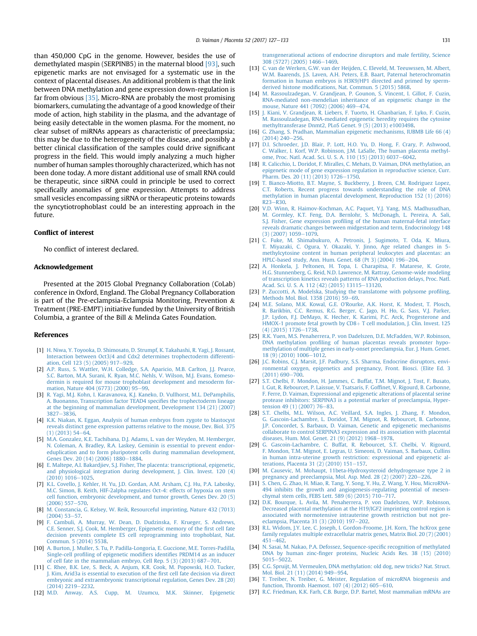<span id="page-4-0"></span>than 450,000 CpG in the genome. However, besides the use of demethylated maspin (SERPINB5) in the maternal blood [\[93\],](#page-6-0) such epigenetic marks are not envisaged for a systematic use in the context of placental diseases. An additional problem is that the link between DNA methylation and gene expression down-regulation is far from obvious [35]. Micro-RNA are probably the most promising biomarkers, cumulating the advantage of a good knowledge of their mode of action, high stability in the plasma, and the advantage of being easily detectable in the women plasma. For the moment, no clear subset of miRNAs appears as characteristic of preeclampsia; this may be due to the heterogeneity of the disease, and possibly a better clinical classification of the samples could drive significant progress in the field. This would imply analyzing a much higher number of human samples thoroughly characterized, which has not been done today. A more distant additional use of small RNA could be therapeutic, since siRNA could in principle be used to correct specifically anomalies of gene expression. Attempts to address small vesicles encompassing siRNA or therapeutic proteins towards the syncytiotrophoblast could be an interesting approach in the future.

## Conflict of interest

No conflict of interest declared.

#### Acknowledgement

Presented at the 2015 Global Pregnancy Collaboration (CoLab) conference in Oxford, England. The Global Pregnancy Collaboration is part of the Pre-eclampsia-Eclampsia Monitoring, Prevention  $\&$ Treatment (PRE-EMPT) initiative funded by the University of British Columbia, a grantee of the Bill & Melinda Gates Foundation.

#### References

- [1] [H. Niwa, Y. Toyooka, D. Shimosato, D. Strumpf, K. Takahashi, R. Yagi, J. Rossant,](http://refhub.elsevier.com/S0143-4004(16)30680-4/sref1) [Interaction between Oct3/4 and Cdx2 determines trophectoderm differenti](http://refhub.elsevier.com/S0143-4004(16)30680-4/sref1)[ation, Cell 123 \(5\) \(2005\) 917](http://refhub.elsevier.com/S0143-4004(16)30680-4/sref1)-[929](http://refhub.elsevier.com/S0143-4004(16)30680-4/sref1).
- [2] [A.P. Russ, S. Wattler, W.H. Colledge, S.A. Aparicio, M.B. Carlton, J.J. Pearce,](http://refhub.elsevier.com/S0143-4004(16)30680-4/sref2) [S.C. Barton, M.A. Surani, K. Ryan, M.C. Nehls, V. Wilson, M.J. Evans, Eomeso](http://refhub.elsevier.com/S0143-4004(16)30680-4/sref2)[dermin is required for mouse trophoblast development and mesoderm for](http://refhub.elsevier.com/S0143-4004(16)30680-4/sref2)[mation, Nature 404 \(6773\) \(2000\) 95](http://refhub.elsevier.com/S0143-4004(16)30680-4/sref2)-[99.](http://refhub.elsevier.com/S0143-4004(16)30680-4/sref2)
- [3] [R. Yagi, M.J. Kohn, I. Karavanova, K.J. Kaneko, D. Vullhorst, M.L. DePamphilis,](http://refhub.elsevier.com/S0143-4004(16)30680-4/sref3) [A. Buonanno, Transcription factor TEAD4 speci](http://refhub.elsevier.com/S0143-4004(16)30680-4/sref3)fies the trophectoderm lineage [at the beginning of mammalian development, Development 134 \(21\) \(2007\)](http://refhub.elsevier.com/S0143-4004(16)30680-4/sref3)  $3827 - 3836$  $3827 - 3836$
- [4] [K.K. Niakan, K. Eggan, Analysis of human embryos from zygote to blastocyst](http://refhub.elsevier.com/S0143-4004(16)30680-4/sref4) [reveals distinct gene expression patterns relative to the mouse, Dev. Biol. 375](http://refhub.elsevier.com/S0143-4004(16)30680-4/sref4)  $(1)$  (2013) 54-[64.](http://refhub.elsevier.com/S0143-4004(16)30680-4/sref4)
- [5] [M.A. Gonzalez, K.E. Tachibana, D.J. Adams, L. van der Weyden, M. Hemberger,](http://refhub.elsevier.com/S0143-4004(16)30680-4/sref5) [N. Coleman, A. Bradley, R.A. Laskey, Geminin is essential to prevent endor](http://refhub.elsevier.com/S0143-4004(16)30680-4/sref5)[eduplication and to form pluripotent cells during mammalian development,](http://refhub.elsevier.com/S0143-4004(16)30680-4/sref5) [Genes Dev. 20 \(14\) \(2006\) 1880](http://refhub.elsevier.com/S0143-4004(16)30680-4/sref5)-[1884.](http://refhub.elsevier.com/S0143-4004(16)30680-4/sref5)
- [6] [E. Maltepe, A.I. Bakardjiev, S.J. Fisher, The placenta: transcriptional, epigenetic,](http://refhub.elsevier.com/S0143-4004(16)30680-4/sref6) [and physiological integration during development, J. Clin. Invest. 120 \(4\)](http://refhub.elsevier.com/S0143-4004(16)30680-4/sref6)  $(2010)$  1016-[1025.](http://refhub.elsevier.com/S0143-4004(16)30680-4/sref6)
- [7] [K.L. Covello, J. Kehler, H. Yu, J.D. Gordan, A.M. Arsham, C.J. Hu, P.A. Labosky,](http://refhub.elsevier.com/S0143-4004(16)30680-4/sref7) [M.C. Simon, B. Keith, HIF-2alpha regulates Oct-4: effects of hypoxia on stem](http://refhub.elsevier.com/S0143-4004(16)30680-4/sref7) [cell function, embryonic development, and tumor growth, Genes Dev. 20 \(5\)](http://refhub.elsevier.com/S0143-4004(16)30680-4/sref7)  $(2006)$  557 $-570$  $-570$ .
- [8] [M. Constancia, G. Kelsey, W. Reik, Resourceful imprinting, Nature 432 \(7013\)](http://refhub.elsevier.com/S0143-4004(16)30680-4/sref8)  $(2004)$  53-[57.](http://refhub.elsevier.com/S0143-4004(16)30680-4/sref8)
- [9] [F. Cambuli, A. Murray, W. Dean, D. Dudzinska, F. Krueger, S. Andrews,](http://refhub.elsevier.com/S0143-4004(16)30680-4/sref9) [C.E. Senner, S.J. Cook, M. Hemberger, Epigenetic memory of the](http://refhub.elsevier.com/S0143-4004(16)30680-4/sref9) first cell fate [decision prevents complete ES cell reprogramming into trophoblast, Nat.](http://refhub.elsevier.com/S0143-4004(16)30680-4/sref9) [Commun. 5 \(2014\) 5538](http://refhub.elsevier.com/S0143-4004(16)30680-4/sref9).
- [10] [A. Burton, J. Muller, S. Tu, P. Padilla-Longoria, E. Guccione, M.E. Torres-Padilla,](http://refhub.elsevier.com/S0143-4004(16)30680-4/sref10) Single-cell profiling of epigenetic modifiers identifi[es PRDM14 as an inducer](http://refhub.elsevier.com/S0143-4004(16)30680-4/sref10) of cell fate in the mammalian embryo, Cell Rep.  $5(3)(2013)$  687-[701](http://refhub.elsevier.com/S0143-4004(16)30680-4/sref10).
- [11] [C. Rhee, B.K. Lee, S. Beck, A. Anjum, K.R. Cook, M. Popowski, H.O. Tucker,](http://refhub.elsevier.com/S0143-4004(16)30680-4/sref11) [J. Kim, Arid3a is essential to execution of the](http://refhub.elsevier.com/S0143-4004(16)30680-4/sref11) first cell fate decision via direct [embryonic and extraembryonic transcriptional regulation, Genes Dev. 28 \(20\)](http://refhub.elsevier.com/S0143-4004(16)30680-4/sref11) [\(2014\) 2219](http://refhub.elsevier.com/S0143-4004(16)30680-4/sref11)-[2232](http://refhub.elsevier.com/S0143-4004(16)30680-4/sref11).
- [12] [M.D. Anway, A.S. Cupp, M. Uzumcu, M.K. Skinner, Epigenetic](http://refhub.elsevier.com/S0143-4004(16)30680-4/sref12)

[transgenerational actions of endocrine disruptors and male fertility, Science](http://refhub.elsevier.com/S0143-4004(16)30680-4/sref12) [308 \(5727\) \(2005\) 1466](http://refhub.elsevier.com/S0143-4004(16)30680-4/sref12)-[1469](http://refhub.elsevier.com/S0143-4004(16)30680-4/sref12).

- [13] [C. van de Werken, G.W. van der Heijden, C. Eleveld, M. Teeuwssen, M. Albert,](http://refhub.elsevier.com/S0143-4004(16)30680-4/sref13) [W.M. Baarends, J.S. Laven, A.H. Peters, E.B. Baart, Paternal heterochromatin](http://refhub.elsevier.com/S0143-4004(16)30680-4/sref13) [formation in human embryos is H3K9/HP1 directed and primed by sperm](http://refhub.elsevier.com/S0143-4004(16)30680-4/sref13)derived histone modifi[cations, Nat. Commun. 5 \(2015\) 5868.](http://refhub.elsevier.com/S0143-4004(16)30680-4/sref13)
- [14] [M. Rassoulzadegan, V. Grandjean, P. Gounon, S. Vincent, I. Gillot, F. Cuzin,](http://refhub.elsevier.com/S0143-4004(16)30680-4/sref14) [RNA-mediated non-mendelian inheritance of an epigenetic change in the](http://refhub.elsevier.com/S0143-4004(16)30680-4/sref14) [mouse, Nature 441 \(7092\) \(2006\) 469](http://refhub.elsevier.com/S0143-4004(16)30680-4/sref14)-[474](http://refhub.elsevier.com/S0143-4004(16)30680-4/sref14).
- [15] [J. Kiani, V. Grandjean, R. Liebers, F. Tuorto, H. Ghanbarian, F. Lyko, F. Cuzin,](http://refhub.elsevier.com/S0143-4004(16)30680-4/sref15) [M. Rassoulzadegan, RNA-mediated epigenetic heredity requires the cytosine](http://refhub.elsevier.com/S0143-4004(16)30680-4/sref15) [methyltransferase Dnmt2, PLoS Genet. 9 \(5\) \(2013\) e1003498.](http://refhub.elsevier.com/S0143-4004(16)30680-4/sref15)
- [16] [G. Zhang, S. Pradhan, Mammalian epigenetic mechanisms, IUBMB Life 66 \(4\)](http://refhub.elsevier.com/S0143-4004(16)30680-4/sref16)  $(2014)$   $240 - 256$ .
- [17] [D.I. Schroeder, J.D. Blair, P. Lott, H.O. Yu, D. Hong, F. Crary, P. Ashwood,](http://refhub.elsevier.com/S0143-4004(16)30680-4/sref17) [C. Walker, I. Korf, W.P. Robinson, J.M. LaSalle, The human placenta methyl](http://refhub.elsevier.com/S0143-4004(16)30680-4/sref17)[ome, Proc. Natl. Acad. Sci. U. S. A. 110 \(15\) \(2013\) 6037](http://refhub.elsevier.com/S0143-4004(16)30680-4/sref17)-[6042](http://refhub.elsevier.com/S0143-4004(16)30680-4/sref17).
- [18] [R. Calicchio, L. Doridot, F. Miralles, C. Mehats, D. Vaiman, DNA methylation, an](http://refhub.elsevier.com/S0143-4004(16)30680-4/sref18) [epigenetic mode of gene expression regulation in reproductive science, Curr.](http://refhub.elsevier.com/S0143-4004(16)30680-4/sref18) [Pharm. Des. 20 \(11\) \(2013\) 1726](http://refhub.elsevier.com/S0143-4004(16)30680-4/sref18)-[1750](http://refhub.elsevier.com/S0143-4004(16)30680-4/sref18).
- [19] [T. Bianco-Miotto, B.T. Mayne, S. Buckberry, J. Breen, C.M. Rodriguez Lopez,](http://refhub.elsevier.com/S0143-4004(16)30680-4/sref19) [C.T. Roberts, Recent progress towards understanding the role of DNA](http://refhub.elsevier.com/S0143-4004(16)30680-4/sref19) [methylation in human placental development, Reproduction 152 \(1\) \(2016\)](http://refhub.elsevier.com/S0143-4004(16)30680-4/sref19)  $R23-R30$  $R23-R30$  $R23-R30$
- [20] [V.D. Winn, R. Haimov-Kochman, A.C. Paquet, Y.J. Yang, M.S. Madhusudhan,](http://refhub.elsevier.com/S0143-4004(16)30680-4/sref20) [M. Gormley, K.T. Feng, D.A. Bernlohr, S. McDonagh, L. Pereira, A. Sali,](http://refhub.elsevier.com/S0143-4004(16)30680-4/sref20) S.J. Fisher, Gene expression profi[ling of the human maternal-fetal interface](http://refhub.elsevier.com/S0143-4004(16)30680-4/sref20) [reveals dramatic changes between midgestation and term, Endocrinology 148](http://refhub.elsevier.com/S0143-4004(16)30680-4/sref20)  $(3)(2007)1059 - 1079.$  $(3)(2007)1059 - 1079.$  $(3)(2007)1059 - 1079.$
- [21] [C. Fuke, M. Shimabukuro, A. Petronis, J. Sugimoto, T. Oda, K. Miura,](http://refhub.elsevier.com/S0143-4004(16)30680-4/sref21) [T. Miyazaki, C. Ogura, Y. Okazaki, Y. Jinno, Age related changes in 5](http://refhub.elsevier.com/S0143-4004(16)30680-4/sref21) [methylcytosine content in human peripheral leukocytes and placentas: an](http://refhub.elsevier.com/S0143-4004(16)30680-4/sref21) [HPLC-based study, Ann. Hum. Genet. 68 \(Pt 3\) \(2004\) 196](http://refhub.elsevier.com/S0143-4004(16)30680-4/sref21)-[204.](http://refhub.elsevier.com/S0143-4004(16)30680-4/sref21)
- [22] [A. Honkela, J. Peltonen, H. Topa, I. Charapitsa, F. Matarese, K. Grote,](http://refhub.elsevier.com/S0143-4004(16)30680-4/sref22) [H.G. Stunnenberg, G. Reid, N.D. Lawrence, M. Rattray, Genome-wide modeling](http://refhub.elsevier.com/S0143-4004(16)30680-4/sref22) [of transcription kinetics reveals patterns of RNA production delays, Proc. Natl.](http://refhub.elsevier.com/S0143-4004(16)30680-4/sref22) [Acad. Sci. U. S. A. 112 \(42\) \(2015\) 13115](http://refhub.elsevier.com/S0143-4004(16)30680-4/sref22)-[13120.](http://refhub.elsevier.com/S0143-4004(16)30680-4/sref22)
- [23] [P. Zuccotti, A. Modelska, Studying the translatome with polysome pro](http://refhub.elsevier.com/S0143-4004(16)30680-4/sref23)filing, [Methods Mol. Biol. 1358 \(2016\) 59](http://refhub.elsevier.com/S0143-4004(16)30680-4/sref23)-[69](http://refhub.elsevier.com/S0143-4004(16)30680-4/sref23).
- [24] [M.E. Solano, M.K. Kowal, G.E. O'Rourke, A.K. Horst, K. Modest, T. Plosch,](http://refhub.elsevier.com/S0143-4004(16)30680-4/sref24) [R. Barikbin, C.C. Remus, R.G. Berger, C. Jago, H. Ho, G. Sass, V.J. Parker,](http://refhub.elsevier.com/S0143-4004(16)30680-4/sref24) [J.P. Lydon, F.J. DeMayo, K. Hecher, K. Karimi, P.C. Arck, Progesterone and](http://refhub.elsevier.com/S0143-4004(16)30680-4/sref24) [HMOX-1 promote fetal growth by CD8](http://refhub.elsevier.com/S0143-4004(16)30680-4/sref24)+ [T cell modulation, J. Clin. Invest. 125](http://refhub.elsevier.com/S0143-4004(16)30680-4/sref24) 4) (2015) 1726-[1738](http://refhub.elsevier.com/S0143-4004(16)30680-4/sref24).
- [25] [R.K. Yuen, M.S. Penaherrera, P. von Dadelszen, D.E. McFadden, W.P. Robinson,](http://refhub.elsevier.com/S0143-4004(16)30680-4/sref25) DNA methylation profi[ling of human placentas reveals promoter hypo](http://refhub.elsevier.com/S0143-4004(16)30680-4/sref25)[methylation of multiple genes in early-onset preeclampsia, Eur. J. Hum. Genet.](http://refhub.elsevier.com/S0143-4004(16)30680-4/sref25)  $18$  (9) (2010)  $1006 - 1012$ .
- [26] [J.C. Robins, C.J. Marsit, J.F. Padbury, S.S. Sharma, Endocrine disruptors, envi](http://refhub.elsevier.com/S0143-4004(16)30680-4/sref26)[ronmental oxygen, epigenetics and pregnancy, Front. Biosci. \(Elite Ed. 3](http://refhub.elsevier.com/S0143-4004(16)30680-4/sref26)  $(2011) 690 - 700.$  $(2011) 690 - 700.$  $(2011) 690 - 700.$
- [27] [S.T. Chelbi, F. Mondon, H. Jammes, C. Buffat, T.M. Mignot, J. Tost, F. Busato,](http://refhub.elsevier.com/S0143-4004(16)30680-4/sref27) [I. Gut, R. Rebourcet, P. Laissue, V. Tsatsaris, F. Gof](http://refhub.elsevier.com/S0143-4004(16)30680-4/sref27)finet, V. Rigourd, B. Carbonne, [F. Ferre, D. Vaiman, Expressional and epigenetic alterations of placental serine](http://refhub.elsevier.com/S0143-4004(16)30680-4/sref27) [protease inhibitors: SERPINA3 is a potential marker of preeclampsia, Hyper](http://refhub.elsevier.com/S0143-4004(16)30680-4/sref27)[tension 49 \(1\) \(2007\) 76](http://refhub.elsevier.com/S0143-4004(16)30680-4/sref27)-[83](http://refhub.elsevier.com/S0143-4004(16)30680-4/sref27).
- [28] [S.T. Chelbi, M.L. Wilson, A.C. Veillard, S.A. Ingles, J. Zhang, F. Mondon,](http://refhub.elsevier.com/S0143-4004(16)30680-4/sref28) [G. Gascoin-Lachambre, L. Doridot, T.M. Mignot, R. Rebourcet, B. Carbonne,](http://refhub.elsevier.com/S0143-4004(16)30680-4/sref28) [J.P. Concordet, S. Barbaux, D. Vaiman, Genetic and epigenetic mechanisms](http://refhub.elsevier.com/S0143-4004(16)30680-4/sref28) [collaborate to control SERPINA3 expression and its association with placental](http://refhub.elsevier.com/S0143-4004(16)30680-4/sref28) diseases, Hum. Mol. Genet. 21 (9)  $(2012)$  1968-[1978](http://refhub.elsevier.com/S0143-4004(16)30680-4/sref28).
- [29] [G. Gascoin-Lachambre, C. Buffat, R. Rebourcet, S.T. Chelbi, V. Rigourd,](http://refhub.elsevier.com/S0143-4004(16)30680-4/sref29) [F. Mondon, T.M. Mignot, E. Legras, U. Simeoni, D. Vaiman, S. Barbaux, Cullins](http://refhub.elsevier.com/S0143-4004(16)30680-4/sref29) [in human intra-uterine growth restriction: expressional and epigenetic al](http://refhub.elsevier.com/S0143-4004(16)30680-4/sref29)terations, Placenta 31  $(2)$   $(2010)$  151-[157.](http://refhub.elsevier.com/S0143-4004(16)30680-4/sref29)
- [30] [M. Causevic, M. Mohaupt, 11beta-Hydroxysteroid dehydrogenase type 2 in](http://refhub.elsevier.com/S0143-4004(16)30680-4/sref30) pregnancy and preeclampsia, Mol. Asp. Med. 28 (2) (2007)  $220-226$ .
- [31] [S. Chen, G. Zhao, H. Miao, R. Tang, Y. Song, Y. Hu, Z. Wang, Y. Hou, MicroRNA-](http://refhub.elsevier.com/S0143-4004(16)30680-4/sref31)[494 inhibits the growth and angiogenesis-regulating potential of mesen](http://refhub.elsevier.com/S0143-4004(16)30680-4/sref31)[chymal stem cells, FEBS Lett. 589 \(6\) \(2015\) 710](http://refhub.elsevier.com/S0143-4004(16)30680-4/sref31)-[717](http://refhub.elsevier.com/S0143-4004(16)30680-4/sref31).
- [32] [D.K. Bourque, L. Avila, M. Penaherrera, P. von Dadelszen, W.P. Robinson,](http://refhub.elsevier.com/S0143-4004(16)30680-4/sref32) [Decreased placental methylation at the H19/IGF2 imprinting control region is](http://refhub.elsevier.com/S0143-4004(16)30680-4/sref32) [associated with normotensive intrauterine growth restriction but not pre](http://refhub.elsevier.com/S0143-4004(16)30680-4/sref32)[eclampsia, Placenta 31 \(3\) \(2010\) 197](http://refhub.elsevier.com/S0143-4004(16)30680-4/sref32)-[202.](http://refhub.elsevier.com/S0143-4004(16)30680-4/sref32)
- [33] [R.L. Widom, J.Y. Lee, C. Joseph, I. Gordon-Froome, J.H. Korn, The hcKrox gene](http://refhub.elsevier.com/S0143-4004(16)30680-4/sref33) [family regulates multiple extracellular matrix genes, Matrix Biol. 20 \(7\) \(2001\)](http://refhub.elsevier.com/S0143-4004(16)30680-4/sref33)  $451 - 462$  $451 - 462$ .
- [34] [N. Sasai, M. Nakao, P.A. Defossez, Sequence-speci](http://refhub.elsevier.com/S0143-4004(16)30680-4/sref34)fic recognition of methylated DNA by human zinc-fi[nger proteins, Nucleic Acids Res. 38 \(15\) \(2010\)](http://refhub.elsevier.com/S0143-4004(16)30680-4/sref34)  $5015 - 5022$  $5015 - 5022$  $5015 - 5022$
- [35] [C.G. Spruijt, M. Vermeulen, DNA methylation: old dog, new tricks? Nat. Struct.](http://refhub.elsevier.com/S0143-4004(16)30680-4/sref35) [Mol. Biol. 21 \(11\) \(2014\) 949](http://refhub.elsevier.com/S0143-4004(16)30680-4/sref35)-[954](http://refhub.elsevier.com/S0143-4004(16)30680-4/sref35).
- [36] [T. Treiber, N. Treiber, G. Meister, Regulation of microRNA biogenesis and](http://refhub.elsevier.com/S0143-4004(16)30680-4/sref36) function, Thromb. Haemost.  $107(4)(2012)$  605-[610](http://refhub.elsevier.com/S0143-4004(16)30680-4/sref36).
- [37] [R.C. Friedman, K.K. Farh, C.B. Burge, D.P. Bartel, Most mammalian mRNAs are](http://refhub.elsevier.com/S0143-4004(16)30680-4/sref37)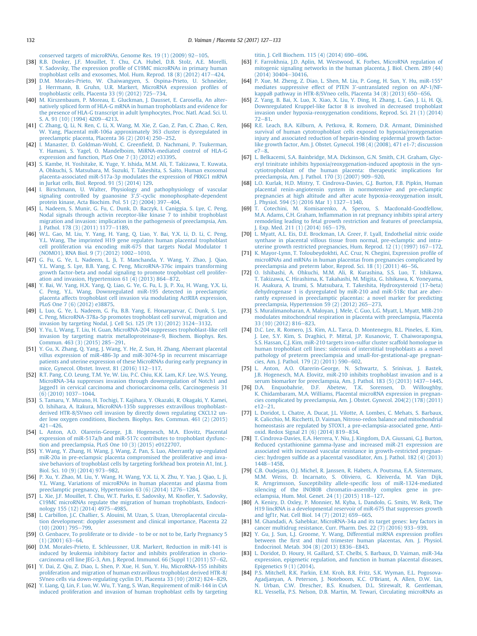conserved targets of microRNAs, Genome Res.  $19(1)(2009)$  92-[105](http://refhub.elsevier.com/S0143-4004(16)30680-4/sref37).

- <span id="page-5-0"></span>[38] [R.B. Donker, J.F. Mouillet, T. Chu, C.A. Hubel, D.B. Stolz, A.E. Morelli,](http://refhub.elsevier.com/S0143-4004(16)30680-4/sref38) Y. Sadovsky, The expression profi[le of C19MC microRNAs in primary human](http://refhub.elsevier.com/S0143-4004(16)30680-4/sref38) trophoblast cells and exosomes, Mol. Hum. Reprod. 18  $(8)$   $(2012)$   $417-424$  $417-424$ .
- [39] [D.M. Morales-Prieto, W. Chaiwangyen, S. Ospina-Prieto, U. Schneider,](http://refhub.elsevier.com/S0143-4004(16)30680-4/sref39) [J. Herrmann, B. Gruhn, U.R. Markert, MicroRNA expression pro](http://refhub.elsevier.com/S0143-4004(16)30680-4/sref39)files of trophoblastic cells, Placenta 33 $(9)$  $(2012)$  725-[734.](http://refhub.elsevier.com/S0143-4004(16)30680-4/sref39)
- [40] [M. Kirszenbaum, P. Moreau, E. Gluckman, J. Dausset, E. Carosella, An alter](http://refhub.elsevier.com/S0143-4004(16)30680-4/sref40)[natively spliced form of HLA-G mRNA in human trophoblasts and evidence for](http://refhub.elsevier.com/S0143-4004(16)30680-4/sref40) [the presence of HLA-G transcript in adult lymphocytes, Proc. Natl. Acad. Sci. U.](http://refhub.elsevier.com/S0143-4004(16)30680-4/sref40)  $S. A. 91 (10) (1994) 4209 - 4213.$  $S. A. 91 (10) (1994) 4209 - 4213.$  $S. A. 91 (10) (1994) 4209 - 4213.$  $S. A. 91 (10) (1994) 4209 - 4213.$
- [41] [C. Zhang, Q. Li, N. Ren, C. Li, X. Wang, M. Xie, Z. Gao, Z. Pan, C. Zhao, C. Ren,](http://refhub.elsevier.com/S0143-4004(16)30680-4/sref41) [W. Yang, Placental miR-106a approximately 363 cluster is dysregulated in](http://refhub.elsevier.com/S0143-4004(16)30680-4/sref41) preeclamptic placenta, Placenta  $36(2)(2014)$  250-[252](http://refhub.elsevier.com/S0143-4004(16)30680-4/sref41).
- [42] [I. Manaster, D. Goldman-Wohl, C. Green](http://refhub.elsevier.com/S0143-4004(16)30680-4/sref42)field, D. Nachmani, P. Tsukerman, [Y. Hamani, S. Yagel, O. Mandelboim, MiRNA-mediated control of HLA-G](http://refhub.elsevier.com/S0143-4004(16)30680-4/sref42) [expression and function, PLoS One 7 \(3\) \(2012\) e33395.](http://refhub.elsevier.com/S0143-4004(16)30680-4/sref42)
- [43] [S. Kambe, H. Yoshitake, K. Yuge, Y. Ishida, M.M. Ali, T. Takizawa, T. Kuwata,](http://refhub.elsevier.com/S0143-4004(16)30680-4/sref43) [A. Ohkuchi, S. Matsubara, M. Suzuki, T. Takeshita, S. Saito, Human exosomal](http://refhub.elsevier.com/S0143-4004(16)30680-4/sref43) [placenta-associated miR-517a-3p modulates the expression of PRKG1 mRNA](http://refhub.elsevier.com/S0143-4004(16)30680-4/sref43) [in Jurkat cells, Biol. Reprod. 91 \(5\) \(2014\) 129.](http://refhub.elsevier.com/S0143-4004(16)30680-4/sref43)
- [44] [I. Birschmann, U. Walter, Physiology and pathophysiology of vascular](http://refhub.elsevier.com/S0143-4004(16)30680-4/sref44) [signaling controlled by guanosine 3',5'-cyclic monophosphate-dependent](http://refhub.elsevier.com/S0143-4004(16)30680-4/sref44) [protein kinase, Acta Biochim. Pol. 51 \(2\) \(2004\) 397](http://refhub.elsevier.com/S0143-4004(16)30680-4/sref44)-[404](http://refhub.elsevier.com/S0143-4004(16)30680-4/sref44).
- [45] [L. Nadeem, S. Munir, G. Fu, C. Dunk, D. Baczyk, I. Caniggia, S. Lye, C. Peng,](http://refhub.elsevier.com/S0143-4004(16)30680-4/sref45) [Nodal signals through activin receptor-like kinase 7 to inhibit trophoblast](http://refhub.elsevier.com/S0143-4004(16)30680-4/sref45) [migration and invasion: implication in the pathogenesis of preeclampsia, Am.](http://refhub.elsevier.com/S0143-4004(16)30680-4/sref45) I. Pathol. 178 (3) (2011) 1177-[1189.](http://refhub.elsevier.com/S0143-4004(16)30680-4/sref45)
- [46] [W.L. Gao, M. Liu, Y. Yang, H. Yang, Q. Liao, Y. Bai, Y.X. Li, D. Li, C. Peng,](http://refhub.elsevier.com/S0143-4004(16)30680-4/sref46) [Y.L. Wang, The imprinted H19 gene regulates human placental trophoblast](http://refhub.elsevier.com/S0143-4004(16)30680-4/sref46) [cell proliferation via encoding miR-675 that targets Nodal Modulator 1](http://refhub.elsevier.com/S0143-4004(16)30680-4/sref46) [\(NOMO1\), RNA Biol. 9 \(7\) \(2012\) 1002](http://refhub.elsevier.com/S0143-4004(16)30680-4/sref46)-[1010.](http://refhub.elsevier.com/S0143-4004(16)30680-4/sref46)
- [47] [G. Fu, G. Ye, L. Nadeem, L. Ji, T. Manchanda, Y. Wang, Y. Zhao, J. Qiao,](http://refhub.elsevier.com/S0143-4004(16)30680-4/sref47) [Y.L. Wang, S. Lye, B.B. Yang, C. Peng, MicroRNA-376c impairs transforming](http://refhub.elsevier.com/S0143-4004(16)30680-4/sref47) [growth factor-beta and nodal signaling to promote trophoblast cell prolifer](http://refhub.elsevier.com/S0143-4004(16)30680-4/sref47)ation and invasion, Hypertension  $61$   $(4)$   $(2013)$   $864-872$  $864-872$ .
- [48] [Y. Bai, W. Yang, H.X. Yang, Q. Liao, G. Ye, G. Fu, L. Ji, P. Xu, H. Wang, Y.X. Li,](http://refhub.elsevier.com/S0143-4004(16)30680-4/sref48) [C. Peng, Y.L. Wang, Downregulated miR-195 detected in preeclamptic](http://refhub.elsevier.com/S0143-4004(16)30680-4/sref48) [placenta affects trophoblast cell invasion via modulating ActRIIA expression,](http://refhub.elsevier.com/S0143-4004(16)30680-4/sref48) [PLoS One 7 \(6\) \(2012\) e38875](http://refhub.elsevier.com/S0143-4004(16)30680-4/sref48).
- [49] [L. Luo, G. Ye, L. Nadeem, G. Fu, B.B. Yang, E. Honarparvar, C. Dunk, S. Lye,](http://refhub.elsevier.com/S0143-4004(16)30680-4/sref49) [C. Peng, MicroRNA-378a-5p promotes trophoblast cell survival, migration and](http://refhub.elsevier.com/S0143-4004(16)30680-4/sref49) [invasion by targeting Nodal, J. Cell Sci. 125 \(Pt 13\) \(2012\) 3124](http://refhub.elsevier.com/S0143-4004(16)30680-4/sref49)-[3132](http://refhub.elsevier.com/S0143-4004(16)30680-4/sref49).
- [50] [Y. Yu, L. Wang, T. Liu, H. Guan, MicroRNA-204 suppresses trophoblast-like cell](http://refhub.elsevier.com/S0143-4004(16)30680-4/sref50) [invasion by targeting matrix metalloproteinase-9, Biochem. Biophys. Res.](http://refhub.elsevier.com/S0143-4004(16)30680-4/sref50) [Commun. 463 \(3\) \(2015\) 285](http://refhub.elsevier.com/S0143-4004(16)30680-4/sref50)-[291.](http://refhub.elsevier.com/S0143-4004(16)30680-4/sref50)
- [51] [Y. Gu, X. Zhang, Q. Yang, J. Wang, Y. He, Z. Sun, H. Zhang, Aberrant placental](http://refhub.elsevier.com/S0143-4004(16)30680-4/sref51) [villus expression of miR-486-3p and miR-3074-5p in recurrent miscarriage](http://refhub.elsevier.com/S0143-4004(16)30680-4/sref51) [patients and uterine expression of these MicroRNAs during early pregnancy in](http://refhub.elsevier.com/S0143-4004(16)30680-4/sref51) mice, Gynecol. Obstet. Invest. 81 (2016)  $112-117$ .
- [52] [R.T. Pang, C.O. Leung, T.M. Ye, W. Liu, P.C. Chiu, K.K. Lam, K.F. Lee, W.S. Yeung,](http://refhub.elsevier.com/S0143-4004(16)30680-4/sref52) [MicroRNA-34a suppresses invasion through downregulation of Notch1 and](http://refhub.elsevier.com/S0143-4004(16)30680-4/sref52) [Jagged1 in cervical carcinoma and choriocarcinoma cells, Carcinogenesis 31](http://refhub.elsevier.com/S0143-4004(16)30680-4/sref52)  $(6)$  (2010) 1037-[1044.](http://refhub.elsevier.com/S0143-4004(16)30680-4/sref52)
- [53] [S. Tamaru, Y. Mizuno, H. Tochigi, T. Kajihara, Y. Okazaki, R. Okagaki, Y. Kamei,](http://refhub.elsevier.com/S0143-4004(16)30680-4/sref53) [O. Ishihara, A. Itakura, MicroRNA-135b suppresses extravillous trophoblast](http://refhub.elsevier.com/S0143-4004(16)30680-4/sref53)[derived HTR-8/SVneo cell invasion by directly down regulating CXCL12 un](http://refhub.elsevier.com/S0143-4004(16)30680-4/sref53)[der low oxygen conditions, Biochem. Biophys. Res. Commun. 461 \(2\) \(2015\)](http://refhub.elsevier.com/S0143-4004(16)30680-4/sref53)  $421 - 426$  $421 - 426$ .
- [54] [L. Anton, A.O. Olarerin-George, J.B. Hogenesch, M.A. Elovitz, Placental](http://refhub.elsevier.com/S0143-4004(16)30680-4/sref54) [expression of miR-517a/b and miR-517c contributes to trophoblast dysfunc](http://refhub.elsevier.com/S0143-4004(16)30680-4/sref54)[tion and preeclampsia, PLoS One 10 \(3\) \(2015\) e0122707](http://refhub.elsevier.com/S0143-4004(16)30680-4/sref54).
- [55] [Y. Wang, Y. Zhang, H. Wang, J. Wang, Z. Pan, S. Luo, Aberrantly up-regulated](http://refhub.elsevier.com/S0143-4004(16)30680-4/sref55) [miR-20a in pre-eclampsic placenta compromised the proliferative and inva](http://refhub.elsevier.com/S0143-4004(16)30680-4/sref55)[sive behaviors of trophoblast cells by targeting forkhead box protein A1, Int. J.](http://refhub.elsevier.com/S0143-4004(16)30680-4/sref55) [Biol. Sci. 10 \(9\) \(2014\) 973](http://refhub.elsevier.com/S0143-4004(16)30680-4/sref55)-[982](http://refhub.elsevier.com/S0143-4004(16)30680-4/sref55).
- [56] [P. Xu, Y. Zhao, M. Liu, Y. Wang, H. Wang, Y.X. Li, X. Zhu, Y. Yao, J. Qiao, L. Ji,](http://refhub.elsevier.com/S0143-4004(16)30680-4/sref56) [Y.L. Wang, Variations of microRNAs in human placentas and plasma from](http://refhub.elsevier.com/S0143-4004(16)30680-4/sref56) preeclamptic pregnancy, Hypertension 63 (6)  $(2014)$  1276-[1284.](http://refhub.elsevier.com/S0143-4004(16)30680-4/sref56)
- [57] [L. Xie, J.F. Mouillet, T. Chu, W.T. Parks, E. Sadovsky, M. Kno](http://refhub.elsevier.com/S0143-4004(16)30680-4/sref57)fler, Y. Sadovsky, [C19MC microRNAs regulate the migration of human trophoblasts, Endocri](http://refhub.elsevier.com/S0143-4004(16)30680-4/sref57)[nology 155 \(12\) \(2014\) 4975](http://refhub.elsevier.com/S0143-4004(16)30680-4/sref57)-[4985.](http://refhub.elsevier.com/S0143-4004(16)30680-4/sref57)
- [58] [L. Carbillon, J.C. Challier, S. Alouini, M. Uzan, S. Uzan, Uteroplacental circula](http://refhub.elsevier.com/S0143-4004(16)30680-4/sref58)[tion development: doppler assessment and clinical importance, Placenta 22](http://refhub.elsevier.com/S0143-4004(16)30680-4/sref58)  $(10)$   $(2001)$  795-[799.](http://refhub.elsevier.com/S0143-4004(16)30680-4/sref58)
- [59] [O. Genbacev, To proliferate or to divide to be or not to be, Early Pregnancy 5](http://refhub.elsevier.com/S0143-4004(16)30680-4/sref59)  $(1)$  (2001) 63-[64](http://refhub.elsevier.com/S0143-4004(16)30680-4/sref59).
- [60] [D.M. Morales-Prieto, E. Schleussner, U.R. Markert, Reduction in miR-141 is](http://refhub.elsevier.com/S0143-4004(16)30680-4/sref60) [induced by leukemia inhibitory factor and inhibits proliferation in chorio](http://refhub.elsevier.com/S0143-4004(16)30680-4/sref60)carcinoma cell line JEG-3, Am. J. Reprod. Immunol. 66  $(Suppl 1)$  (2011) 57–[62](http://refhub.elsevier.com/S0143-4004(16)30680-4/sref60).
- [61] [Y. Dai, Z. Qiu, Z. Diao, L. Shen, P. Xue, H. Sun, Y. Hu, MicroRNA-155 inhibits](http://refhub.elsevier.com/S0143-4004(16)30680-4/sref61) [proliferation and migration of human extravillous trophoblast derived HTR-8/](http://refhub.elsevier.com/S0143-4004(16)30680-4/sref61) SVneo cells via down-regulating cyclin D1, Placenta  $33(10)(2012)824-829$  $33(10)(2012)824-829$ .
- [62] [Y. Liang, Q. Lin, F. Luo, W. Wu, T. Yang, S. Wan, Requirement of miR-144 in CsA](http://refhub.elsevier.com/S0143-4004(16)30680-4/sref62) [induced proliferation and invasion of human trophoblast cells by targeting](http://refhub.elsevier.com/S0143-4004(16)30680-4/sref62)

[titin, J. Cell Biochem. 115 \(4\) \(2014\) 690](http://refhub.elsevier.com/S0143-4004(16)30680-4/sref62)-[696](http://refhub.elsevier.com/S0143-4004(16)30680-4/sref62).

- [63] [F. Farrokhnia, J.D. Aplin, M. Westwood, K. Forbes, MicroRNA regulation of](http://refhub.elsevier.com/S0143-4004(16)30680-4/sref63) [mitogenic signaling networks in the human placenta, J. Biol. Chem. 289 \(44\)](http://refhub.elsevier.com/S0143-4004(16)30680-4/sref63)  $(2014)$  30404-[30416](http://refhub.elsevier.com/S0143-4004(16)30680-4/sref63).
- [64] [P. Xue, M. Zheng, Z. Diao, L. Shen, M. Liu, P. Gong, H. Sun, Y. Hu, miR-155\\*](http://refhub.elsevier.com/S0143-4004(16)30680-4/sref64) [mediates suppressive effect of PTEN 3'-untranslated region on AP-1/NF](http://refhub.elsevier.com/S0143-4004(16)30680-4/sref64)[kappaB pathway in HTR-8/SVneo cells, Placenta 34 \(8\) \(2013\) 650](http://refhub.elsevier.com/S0143-4004(16)30680-4/sref64)-[656](http://refhub.elsevier.com/S0143-4004(16)30680-4/sref64).
- [65] [Z. Yang, B. Bai, X. Luo, X. Xiao, X. Liu, Y. Ding, H. Zhang, L. Gao, J. Li, H. Qi,](http://refhub.elsevier.com/S0143-4004(16)30680-4/sref65) [Downregulated Kruppel-like factor 8 is involved in decreased trophoblast](http://refhub.elsevier.com/S0143-4004(16)30680-4/sref65) [invasion under hypoxia-reoxygenation conditions, Reprod. Sci. 21 \(1\) \(2014\)](http://refhub.elsevier.com/S0143-4004(16)30680-4/sref65)  $72 - 81.$  $72 - 81.$  $72 - 81.$  $72 - 81.$
- [66] [R.E. Leach, B.A. Kilburn, A. Petkova, R. Romero, D.R. Armant, Diminished](http://refhub.elsevier.com/S0143-4004(16)30680-4/sref66) [survival of human cytotrophoblast cells exposed to hypoxia/reoxygenation](http://refhub.elsevier.com/S0143-4004(16)30680-4/sref66) [injury and associated reduction of heparin-binding epidermal growth factor](http://refhub.elsevier.com/S0143-4004(16)30680-4/sref66)[like growth factor, Am. J. Obstet. Gynecol. 198 \(4\) \(2008\), 471 e1-7; discussion](http://refhub.elsevier.com/S0143-4004(16)30680-4/sref66)  $e7 - 8$  $e7 - 8$  $e7 - 8$
- [67] [L. Belkacemi, S.A. Bainbridge, M.A. Dickinson, G.N. Smith, C.H. Graham, Glyc](http://refhub.elsevier.com/S0143-4004(16)30680-4/sref67)[eryl trinitrate inhibits hypoxia/reoxygenation-induced apoptosis in the syn](http://refhub.elsevier.com/S0143-4004(16)30680-4/sref67)[cytiotrophoblast of the human placenta: therapeutic implications for](http://refhub.elsevier.com/S0143-4004(16)30680-4/sref67) [preeclampsia, Am. J. Pathol. 170 \(3\) \(2007\) 909](http://refhub.elsevier.com/S0143-4004(16)30680-4/sref67)–[920](http://refhub.elsevier.com/S0143-4004(16)30680-4/sref67).
- [68] [L.O. Kurlak, H.D. Mistry, T. Cindrova-Davies, G.J. Burton, F.B. Pipkin, Human](http://refhub.elsevier.com/S0143-4004(16)30680-4/sref68) [placental renin-angiotensin system in normotensive and pre-eclamptic](http://refhub.elsevier.com/S0143-4004(16)30680-4/sref68) [pregnancies at high altitude and after acute hypoxia-reoxygenation insult,](http://refhub.elsevier.com/S0143-4004(16)30680-4/sref68) [J. Physiol. 594 \(5\) \(2016 Mar 1\) 1327](http://refhub.elsevier.com/S0143-4004(16)30680-4/sref68)-[1340.](http://refhub.elsevier.com/S0143-4004(16)30680-4/sref68)
- [69] [T. Cotechini, M. Komisarenko, A. Sperou, S. Macdonald-Goodfellow,](http://refhub.elsevier.com/S0143-4004(16)30680-4/sref69) M.A. Adams, C.H. Graham, Infl[ammation in rat pregnancy inhibits spiral artery](http://refhub.elsevier.com/S0143-4004(16)30680-4/sref69) [remodeling leading to fetal growth restriction and features of preeclampsia,](http://refhub.elsevier.com/S0143-4004(16)30680-4/sref69) J. Exp. Med. 211 (1) (2014)  $165-179$ .
- [70] [L. Myatt, A.L. Eis, D.E. Brockman, I.A. Greer, F. Lyall, Endothelial nitric oxide](http://refhub.elsevier.com/S0143-4004(16)30680-4/sref70) [synthase in placental villous tissue from normal, pre-eclamptic and intra](http://refhub.elsevier.com/S0143-4004(16)30680-4/sref70)[uterine growth restricted pregnancies, Hum. Reprod. 12 \(1\) \(1997\) 167](http://refhub.elsevier.com/S0143-4004(16)30680-4/sref70)-[172](http://refhub.elsevier.com/S0143-4004(16)30680-4/sref70).
- [71] [K. Mayor-Lynn, T. Toloubeydokhti, A.C. Cruz, N. Chegini, Expression pro](http://refhub.elsevier.com/S0143-4004(16)30680-4/sref71)file of [microRNAs and mRNAs in human placentas from pregnancies complicated by](http://refhub.elsevier.com/S0143-4004(16)30680-4/sref71) [preeclampsia and preterm labor, Reprod. Sci. 18 \(1\) \(2011\) 46](http://refhub.elsevier.com/S0143-4004(16)30680-4/sref71)-[56.](http://refhub.elsevier.com/S0143-4004(16)30680-4/sref71)
- [72] [O. Ishibashi, A. Ohkuchi, M.M. Ali, R. Kurashina, S.S. Luo, T. Ishikawa,](http://refhub.elsevier.com/S0143-4004(16)30680-4/sref72) [T. Takizawa, C. Hirashima, K. Takahashi, M. Migita, G. Ishikawa, K. Yoneyama,](http://refhub.elsevier.com/S0143-4004(16)30680-4/sref72) [H. Asakura, A. Izumi, S. Matsubara, T. Takeshita, Hydroxysteroid \(17-beta\)](http://refhub.elsevier.com/S0143-4004(16)30680-4/sref72) [dehydrogenase 1 is dysregulated by miR-210 and miR-518c that are aber](http://refhub.elsevier.com/S0143-4004(16)30680-4/sref72)[rantly expressed in preeclamptic placentas: a novel marker for predicting](http://refhub.elsevier.com/S0143-4004(16)30680-4/sref72) preeclampsia, Hypertension 59  $(2)$   $(2012)$   $265-273$ .
- [73] [S. Muralimanoharan, A. Maloyan, J. Mele, C. Guo, L.G. Myatt, L. Myatt, MIR-210](http://refhub.elsevier.com/S0143-4004(16)30680-4/sref73) [modulates mitochondrial respiration in placenta with preeclampsia, Placenta](http://refhub.elsevier.com/S0143-4004(16)30680-4/sref73) [33 \(10\) \(2012\) 816](http://refhub.elsevier.com/S0143-4004(16)30680-4/sref73)-[823](http://refhub.elsevier.com/S0143-4004(16)30680-4/sref73).
- [74] [D.C. Lee, R. Romero, J.S. Kim, A.L. Tarca, D. Montenegro, B.L. Pineles, E. Kim,](http://refhub.elsevier.com/S0143-4004(16)30680-4/sref74) [J. Lee, S.Y. Kim, S. Draghici, P. Mittal, J.P. Kusanovic, T. Chaiworapongsa,](http://refhub.elsevier.com/S0143-4004(16)30680-4/sref74) [S.S. Hassan, C.J. Kim, miR-210 targets iron-sulfur cluster scaffold homologue in](http://refhub.elsevier.com/S0143-4004(16)30680-4/sref74) [human trophoblast cell lines: siderosis of interstitial trophoblasts as a novel](http://refhub.elsevier.com/S0143-4004(16)30680-4/sref74) [pathology of preterm preeclampsia and small-for-gestational-age pregnan](http://refhub.elsevier.com/S0143-4004(16)30680-4/sref74)[cies, Am. J. Pathol. 179 \(2\) \(2011\) 590](http://refhub.elsevier.com/S0143-4004(16)30680-4/sref74)-[602](http://refhub.elsevier.com/S0143-4004(16)30680-4/sref74).
- [75] [L. Anton, A.O. Olarerin-George, N. Schwartz, S. Srinivas, J. Bastek,](http://refhub.elsevier.com/S0143-4004(16)30680-4/sref75) [J.B. Hogenesch, M.A. Elovitz, miR-210 inhibits trophoblast invasion and is a](http://refhub.elsevier.com/S0143-4004(16)30680-4/sref75) [serum biomarker for preeclampsia, Am. J. Pathol. 183 \(5\) \(2013\) 1437](http://refhub.elsevier.com/S0143-4004(16)30680-4/sref75)–[1445](http://refhub.elsevier.com/S0143-4004(16)30680-4/sref75).
- [76] [D.A. Enquobahrie, D.F. Abetew, T.K. Sorensen, D. Willoughby,](http://refhub.elsevier.com/S0143-4004(16)30680-4/sref76) [K. Chidambaram, M.A. Williams, Placental microRNA expression in pregnan](http://refhub.elsevier.com/S0143-4004(16)30680-4/sref76)[cies complicated by preeclampsia, Am. J. Obstet. Gynecol. 204\(2\) \(178\) \(2011\)](http://refhub.elsevier.com/S0143-4004(16)30680-4/sref76)  $e12 - 21$  $e12 - 21$ .
- [77] [L. Doridot, L. Chatre, A. Ducat, J.L. Vilotte, A. Lombes, C. Mehats, S. Barbaux,](http://refhub.elsevier.com/S0143-4004(16)30680-4/sref77) [R. Calicchio, M. Ricchetti, D. Vaiman, Nitroso-redox balance and mitochondrial](http://refhub.elsevier.com/S0143-4004(16)30680-4/sref77) [homeostasis are regulated by STOX1, a pre-eclampsia-associated gene, Anti](http://refhub.elsevier.com/S0143-4004(16)30680-4/sref77)[oxid. Redox Signal 21 \(6\) \(2014\) 819](http://refhub.elsevier.com/S0143-4004(16)30680-4/sref77)-[834](http://refhub.elsevier.com/S0143-4004(16)30680-4/sref77).
- [78] [T. Cindrova-Davies, E.A. Herrera, Y. Niu, J. Kingdom, D.A. Giussani, G.J. Burton,](http://refhub.elsevier.com/S0143-4004(16)30680-4/sref78) [Reduced cystathionine gamma-lyase and increased miR-21 expression are](http://refhub.elsevier.com/S0143-4004(16)30680-4/sref78) [associated with increased vascular resistance in growth-restricted pregnan](http://refhub.elsevier.com/S0143-4004(16)30680-4/sref78)cies: hydrogen sulfi[de as a placental vasodilator, Am. J. Pathol. 182 \(4\) \(2013\)](http://refhub.elsevier.com/S0143-4004(16)30680-4/sref78) [1448](http://refhub.elsevier.com/S0143-4004(16)30680-4/sref78)-[1458](http://refhub.elsevier.com/S0143-4004(16)30680-4/sref78).
- [79] [C.B. Oudejans, O.J. Michel, R. Janssen, R. Habets, A. Poutsma, E.A. Sistermans,](http://refhub.elsevier.com/S0143-4004(16)30680-4/sref79) [M.M. Weiss, D. Incarnato, S. Oliviero, G. Kleiverda, M. Van Dijk,](http://refhub.elsevier.com/S0143-4004(16)30680-4/sref79) [R. Arngrimsson, Susceptibility allele-speci](http://refhub.elsevier.com/S0143-4004(16)30680-4/sref79)fic loss of miR-1324-mediated [silencing of the INO80B chromatin-assembly complex gene in pre](http://refhub.elsevier.com/S0143-4004(16)30680-4/sref79)[eclampsia, Hum. Mol. Genet. 24 \(1\) \(2015\) 118](http://refhub.elsevier.com/S0143-4004(16)30680-4/sref79)-[127](http://refhub.elsevier.com/S0143-4004(16)30680-4/sref79).
- [80] [A. Keniry, D. Oxley, P. Monnier, M. Kyba, L. Dandolo, G. Smits, W. Reik, The](http://refhub.elsevier.com/S0143-4004(16)30680-4/sref80) [H19 lincRNA is a developmental reservoir of miR-675 that suppresses growth](http://refhub.elsevier.com/S0143-4004(16)30680-4/sref80) [and Igf1r, Nat. Cell Biol. 14 \(7\) \(2012\) 659](http://refhub.elsevier.com/S0143-4004(16)30680-4/sref80)-[665](http://refhub.elsevier.com/S0143-4004(16)30680-4/sref80).
- [81] [M. Ghandadi, A. Sahebkar, MicroRNA-34a and its target genes: key factors in](http://refhub.elsevier.com/S0143-4004(16)30680-4/sref81) [cancer multidrug resistance, Curr. Pharm. Des. 22 \(7\) \(2016\) 933](http://refhub.elsevier.com/S0143-4004(16)30680-4/sref81)-[939.](http://refhub.elsevier.com/S0143-4004(16)30680-4/sref81)
- [82] [Y. Gu, J. Sun, L.J. Groome, Y. Wang, Differential miRNA expression pro](http://refhub.elsevier.com/S0143-4004(16)30680-4/sref82)files between the fi[rst and third trimester human placentas, Am. J. Physiol.](http://refhub.elsevier.com/S0143-4004(16)30680-4/sref82) [Endocrinol. Metab. 304 \(8\) \(2013\) E836](http://refhub.elsevier.com/S0143-4004(16)30680-4/sref82)-[E843](http://refhub.elsevier.com/S0143-4004(16)30680-4/sref82).
- [83] [L. Doridot, D. Houry, H. Gaillard, S.T. Chelbi, S. Barbaux, D. Vaiman, miR-34a](http://refhub.elsevier.com/S0143-4004(16)30680-4/sref83) [expression, epigenetic regulation, and function in human placental diseases,](http://refhub.elsevier.com/S0143-4004(16)30680-4/sref83) [Epigenetics 9 \(1\) \(2014\).](http://refhub.elsevier.com/S0143-4004(16)30680-4/sref83)
- [84] [P.S. Mitchell, R.K. Parkin, E.M. Kroh, B.R. Fritz, S.K. Wyman, E.L. Pogosova-](http://refhub.elsevier.com/S0143-4004(16)30680-4/sref84)[Agadjanyan, A. Peterson, J. Noteboom, K.C. O'Briant, A. Allen, D.W. Lin,](http://refhub.elsevier.com/S0143-4004(16)30680-4/sref84) [N. Urban, C.W. Drescher, B.S. Knudsen, D.L. Stirewalt, R. Gentleman,](http://refhub.elsevier.com/S0143-4004(16)30680-4/sref84) [R.L. Vessella, P.S. Nelson, D.B. Martin, M. Tewari, Circulating microRNAs as](http://refhub.elsevier.com/S0143-4004(16)30680-4/sref84)